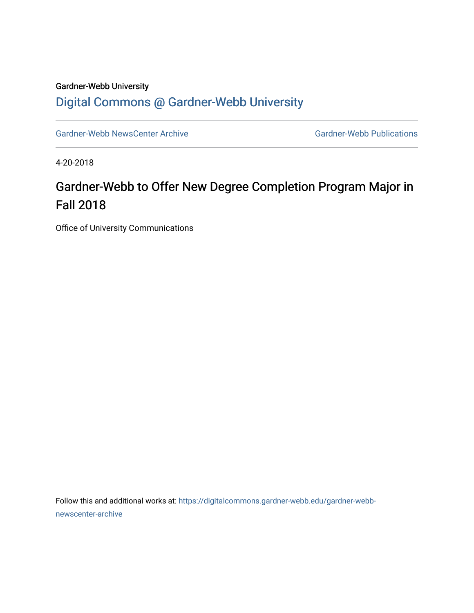## Gardner-Webb University [Digital Commons @ Gardner-Webb University](https://digitalcommons.gardner-webb.edu/)

[Gardner-Webb NewsCenter Archive](https://digitalcommons.gardner-webb.edu/gardner-webb-newscenter-archive) Gardner-Webb Publications

4-20-2018

## Gardner-Webb to Offer New Degree Completion Program Major in Fall 2018

Office of University Communications

Follow this and additional works at: [https://digitalcommons.gardner-webb.edu/gardner-webb](https://digitalcommons.gardner-webb.edu/gardner-webb-newscenter-archive?utm_source=digitalcommons.gardner-webb.edu%2Fgardner-webb-newscenter-archive%2F416&utm_medium=PDF&utm_campaign=PDFCoverPages)[newscenter-archive](https://digitalcommons.gardner-webb.edu/gardner-webb-newscenter-archive?utm_source=digitalcommons.gardner-webb.edu%2Fgardner-webb-newscenter-archive%2F416&utm_medium=PDF&utm_campaign=PDFCoverPages)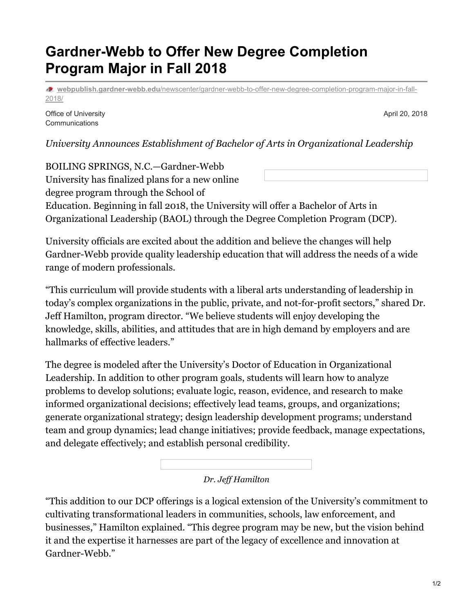## **Gardner-Webb to Offer New Degree Completion Program Major in Fall 2018**

**webpublish.gardner-webb.edu**[/newscenter/gardner-webb-to-offer-new-degree-completion-program-major-in-fall-](https://webpublish.gardner-webb.edu/newscenter/gardner-webb-to-offer-new-degree-completion-program-major-in-fall-2018/)2018/

Office of University Communications

April 20, 2018

*University Announces Establishment of Bachelor of Arts in Organizational Leadership*

BOILING SPRINGS, N.C.—Gardner-Webb University has finalized plans for a new online degree program through the School of Education. Beginning in fall 2018, the University will offer a Bachelor of Arts in Organizational Leadership (BAOL) through the Degree Completion Program (DCP).

University officials are excited about the addition and believe the changes will help Gardner-Webb provide quality leadership education that will address the needs of a wide range of modern professionals.

"This curriculum will provide students with a liberal arts understanding of leadership in today's complex organizations in the public, private, and not-for-profit sectors," shared Dr. Jeff Hamilton, program director. "We believe students will enjoy developing the knowledge, skills, abilities, and attitudes that are in high demand by employers and are hallmarks of effective leaders."

The degree is modeled after the University's Doctor of Education in Organizational Leadership. In addition to other program goals, students will learn how to analyze problems to develop solutions; evaluate logic, reason, evidence, and research to make informed organizational decisions; effectively lead teams, groups, and organizations; generate organizational strategy; design leadership development programs; understand team and group dynamics; lead change initiatives; provide feedback, manage expectations, and delegate effectively; and establish personal credibility.



"This addition to our DCP offerings is a logical extension of the University's commitment to cultivating transformational leaders in communities, schools, law enforcement, and businesses," Hamilton explained. "This degree program may be new, but the vision behind it and the expertise it harnesses are part of the legacy of excellence and innovation at Gardner-Webb."